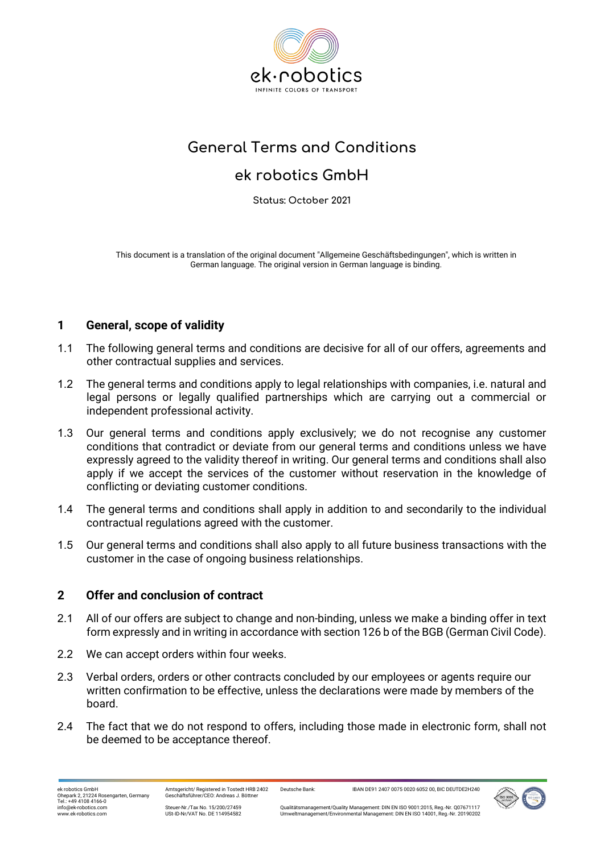

# **General Terms and Conditions**

## **ek robotics GmbH**

**Status: October 2021**

This document is a translation of the original document "Allgemeine Geschäftsbedingungen", which is written in German language. The original version in German language is binding.

## **1 General, scope of validity**

- 1.1 The following general terms and conditions are decisive for all of our offers, agreements and other contractual supplies and services.
- 1.2 The general terms and conditions apply to legal relationships with companies, i.e. natural and legal persons or legally qualified partnerships which are carrying out a commercial or independent professional activity.
- 1.3 Our general terms and conditions apply exclusively; we do not recognise any customer conditions that contradict or deviate from our general terms and conditions unless we have expressly agreed to the validity thereof in writing. Our general terms and conditions shall also apply if we accept the services of the customer without reservation in the knowledge of conflicting or deviating customer conditions.
- 1.4 The general terms and conditions shall apply in addition to and secondarily to the individual contractual regulations agreed with the customer.
- 1.5 Our general terms and conditions shall also apply to all future business transactions with the customer in the case of ongoing business relationships.

## **2 Offer and conclusion of contract**

- 2.1 All of our offers are subject to change and non-binding, unless we make a binding offer in text form expressly and in writing in accordance with section 126 b of the BGB (German Civil Code).
- 2.2 We can accept orders within four weeks.
- 2.3 Verbal orders, orders or other contracts concluded by our employees or agents require our written confirmation to be effective, unless the declarations were made by members of the board.
- 2.4 The fact that we do not respond to offers, including those made in electronic form, shall not be deemed to be acceptance thereof.

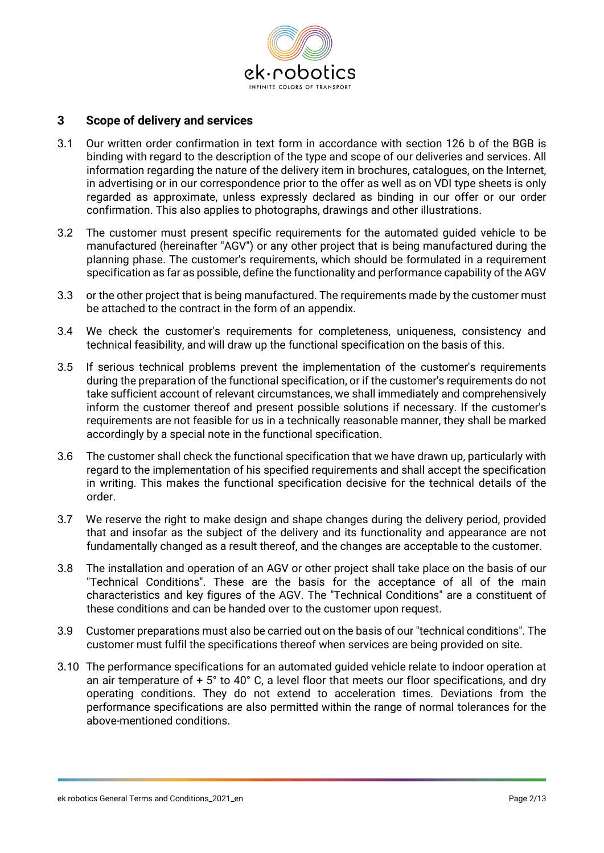

#### **3 Scope of delivery and services**

- 3.1 Our written order confirmation in text form in accordance with section 126 b of the BGB is binding with regard to the description of the type and scope of our deliveries and services. All information regarding the nature of the delivery item in brochures, catalogues, on the Internet, in advertising or in our correspondence prior to the offer as well as on VDI type sheets is only regarded as approximate, unless expressly declared as binding in our offer or our order confirmation. This also applies to photographs, drawings and other illustrations.
- 3.2 The customer must present specific requirements for the automated guided vehicle to be manufactured (hereinafter "AGV") or any other project that is being manufactured during the planning phase. The customer's requirements, which should be formulated in a requirement specification as far as possible, define the functionality and performance capability of the AGV
- 3.3 or the other project that is being manufactured. The requirements made by the customer must be attached to the contract in the form of an appendix.
- 3.4 We check the customer's requirements for completeness, uniqueness, consistency and technical feasibility, and will draw up the functional specification on the basis of this.
- 3.5 If serious technical problems prevent the implementation of the customer's requirements during the preparation of the functional specification, or if the customer's requirements do not take sufficient account of relevant circumstances, we shall immediately and comprehensively inform the customer thereof and present possible solutions if necessary. If the customer's requirements are not feasible for us in a technically reasonable manner, they shall be marked accordingly by a special note in the functional specification.
- 3.6 The customer shall check the functional specification that we have drawn up, particularly with regard to the implementation of his specified requirements and shall accept the specification in writing. This makes the functional specification decisive for the technical details of the order.
- 3.7 We reserve the right to make design and shape changes during the delivery period, provided that and insofar as the subject of the delivery and its functionality and appearance are not fundamentally changed as a result thereof, and the changes are acceptable to the customer.
- 3.8 The installation and operation of an AGV or other project shall take place on the basis of our "Technical Conditions". These are the basis for the acceptance of all of the main characteristics and key figures of the AGV. The "Technical Conditions" are a constituent of these conditions and can be handed over to the customer upon request.
- 3.9 Customer preparations must also be carried out on the basis of our "technical conditions". The customer must fulfil the specifications thereof when services are being provided on site.
- 3.10 The performance specifications for an automated guided vehicle relate to indoor operation at an air temperature of + 5° to 40° C, a level floor that meets our floor specifications, and dry operating conditions. They do not extend to acceleration times. Deviations from the performance specifications are also permitted within the range of normal tolerances for the above-mentioned conditions.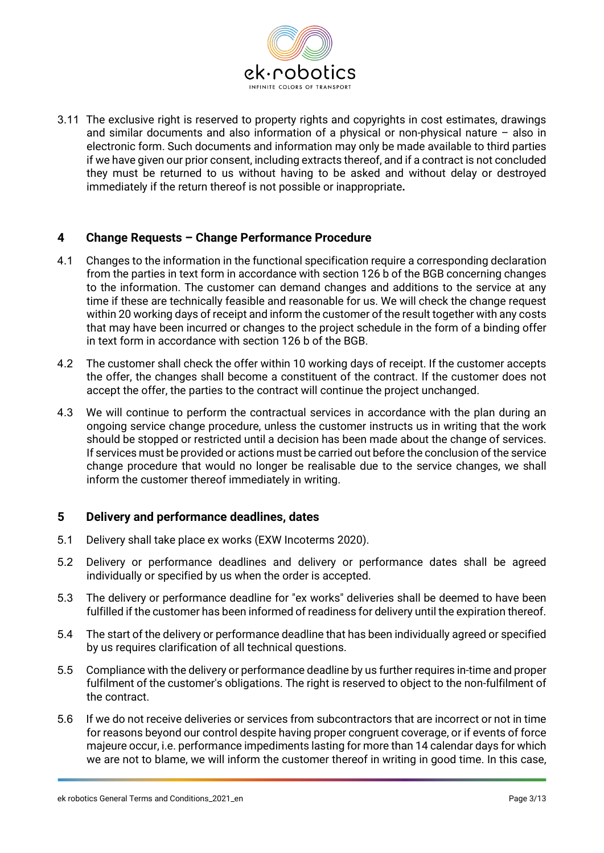

3.11 The exclusive right is reserved to property rights and copyrights in cost estimates, drawings and similar documents and also information of a physical or non-physical nature – also in electronic form. Such documents and information may only be made available to third parties if we have given our prior consent, including extracts thereof, and if a contract is not concluded they must be returned to us without having to be asked and without delay or destroyed immediately if the return thereof is not possible or inappropriate**.**

## **4 Change Requests – Change Performance Procedure**

- 4.1 Changes to the information in the functional specification require a corresponding declaration from the parties in text form in accordance with section 126 b of the BGB concerning changes to the information. The customer can demand changes and additions to the service at any time if these are technically feasible and reasonable for us. We will check the change request within 20 working days of receipt and inform the customer of the result together with any costs that may have been incurred or changes to the project schedule in the form of a binding offer in text form in accordance with section 126 b of the BGB.
- 4.2 The customer shall check the offer within 10 working days of receipt. If the customer accepts the offer, the changes shall become a constituent of the contract. If the customer does not accept the offer, the parties to the contract will continue the project unchanged.
- 4.3 We will continue to perform the contractual services in accordance with the plan during an ongoing service change procedure, unless the customer instructs us in writing that the work should be stopped or restricted until a decision has been made about the change of services. If services must be provided or actions must be carried out before the conclusion of the service change procedure that would no longer be realisable due to the service changes, we shall inform the customer thereof immediately in writing.

#### **5 Delivery and performance deadlines, dates**

- 5.1 Delivery shall take place ex works (EXW Incoterms 2020).
- 5.2 Delivery or performance deadlines and delivery or performance dates shall be agreed individually or specified by us when the order is accepted.
- 5.3 The delivery or performance deadline for "ex works" deliveries shall be deemed to have been fulfilled if the customer has been informed of readiness for delivery until the expiration thereof.
- 5.4 The start of the delivery or performance deadline that has been individually agreed or specified by us requires clarification of all technical questions.
- 5.5 Compliance with the delivery or performance deadline by us further requires in-time and proper fulfilment of the customer's obligations. The right is reserved to object to the non-fulfilment of the contract.
- 5.6 If we do not receive deliveries or services from subcontractors that are incorrect or not in time for reasons beyond our control despite having proper congruent coverage, or if events of force majeure occur, i.e. performance impediments lasting for more than 14 calendar days for which we are not to blame, we will inform the customer thereof in writing in good time. In this case,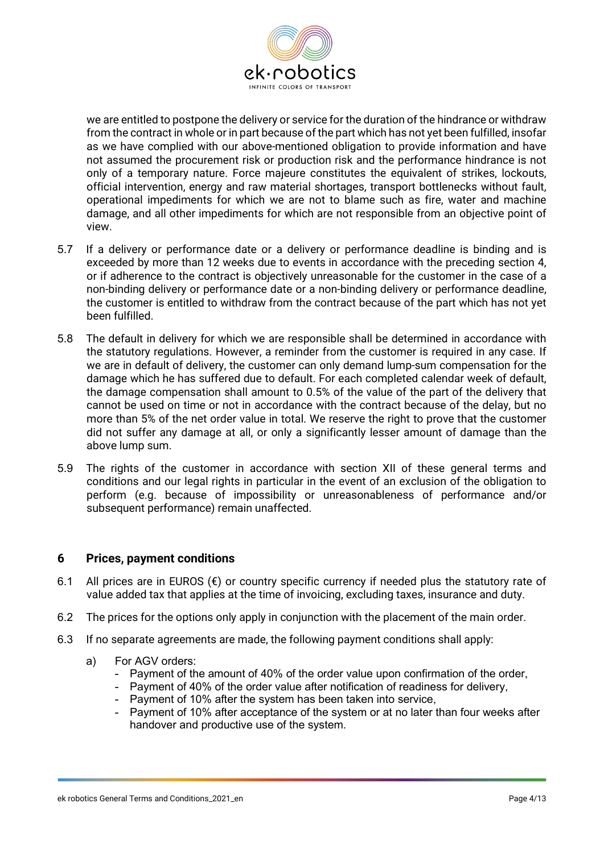

we are entitled to postpone the delivery or service for the duration of the hindrance or withdraw from the contract in whole or in part because of the part which has not yet been fulfilled, insofar as we have complied with our above-mentioned obligation to provide information and have not assumed the procurement risk or production risk and the performance hindrance is not only of a temporary nature. Force majeure constitutes the equivalent of strikes, lockouts, official intervention, energy and raw material shortages, transport bottlenecks without fault, operational impediments for which we are not to blame such as fire, water and machine damage, and all other impediments for which are not responsible from an objective point of view.

- 5.7 If a delivery or performance date or a delivery or performance deadline is binding and is exceeded by more than 12 weeks due to events in accordance with the preceding section 4, or if adherence to the contract is objectively unreasonable for the customer in the case of a non-binding delivery or performance date or a non-binding delivery or performance deadline, the customer is entitled to withdraw from the contract because of the part which has not yet been fulfilled.
- 5.8 The default in delivery for which we are responsible shall be determined in accordance with the statutory regulations. However, a reminder from the customer is required in any case. If we are in default of delivery, the customer can only demand lump-sum compensation for the damage which he has suffered due to default. For each completed calendar week of default, the damage compensation shall amount to 0.5% of the value of the part of the delivery that cannot be used on time or not in accordance with the contract because of the delay, but no more than 5% of the net order value in total. We reserve the right to prove that the customer did not suffer any damage at all, or only a significantly lesser amount of damage than the above lump sum.
- 5.9 The rights of the customer in accordance with section XII of these general terms and conditions and our legal rights in particular in the event of an exclusion of the obligation to perform (e.g. because of impossibility or unreasonableness of performance and/or subsequent performance) remain unaffected.

#### **6 Prices, payment conditions**

- 6.1 All prices are in EUROS  $(\epsilon)$  or country specific currency if needed plus the statutory rate of value added tax that applies at the time of invoicing, excluding taxes, insurance and duty.
- 6.2 The prices for the options only apply in conjunction with the placement of the main order.
- 6.3 If no separate agreements are made, the following payment conditions shall apply:
	- a) For AGV orders:
		- Payment of the amount of 40% of the order value upon confirmation of the order,
		- Payment of 40% of the order value after notification of readiness for delivery,
		- Payment of 10% after the system has been taken into service,
		- Payment of 10% after acceptance of the system or at no later than four weeks after handover and productive use of the system.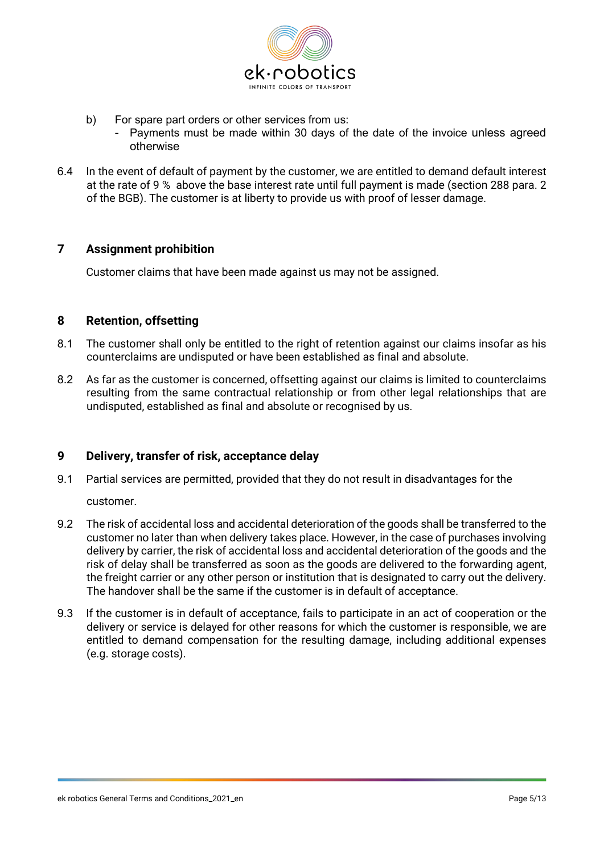

- b) For spare part orders or other services from us:
	- Payments must be made within 30 days of the date of the invoice unless agreed otherwise
- 6.4 In the event of default of payment by the customer, we are entitled to demand default interest at the rate of 9 % above the base interest rate until full payment is made (section 288 para. 2 of the BGB). The customer is at liberty to provide us with proof of lesser damage.

#### **7 Assignment prohibition**

Customer claims that have been made against us may not be assigned.

#### **8 Retention, offsetting**

- 8.1 The customer shall only be entitled to the right of retention against our claims insofar as his counterclaims are undisputed or have been established as final and absolute.
- 8.2 As far as the customer is concerned, offsetting against our claims is limited to counterclaims resulting from the same contractual relationship or from other legal relationships that are undisputed, established as final and absolute or recognised by us.

## **9 Delivery, transfer of risk, acceptance delay**

- 9.1 Partial services are permitted, provided that they do not result in disadvantages for the
	- customer.
- 9.2 The risk of accidental loss and accidental deterioration of the goods shall be transferred to the customer no later than when delivery takes place. However, in the case of purchases involving delivery by carrier, the risk of accidental loss and accidental deterioration of the goods and the risk of delay shall be transferred as soon as the goods are delivered to the forwarding agent, the freight carrier or any other person or institution that is designated to carry out the delivery. The handover shall be the same if the customer is in default of acceptance.
- 9.3 If the customer is in default of acceptance, fails to participate in an act of cooperation or the delivery or service is delayed for other reasons for which the customer is responsible, we are entitled to demand compensation for the resulting damage, including additional expenses (e.g. storage costs).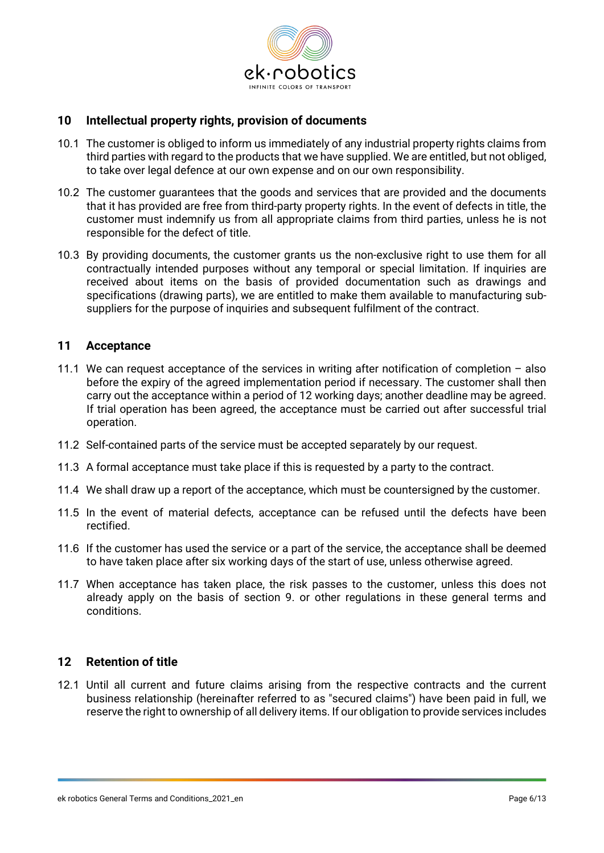

#### **10 Intellectual property rights, provision of documents**

- 10.1 The customer is obliged to inform us immediately of any industrial property rights claims from third parties with regard to the products that we have supplied. We are entitled, but not obliged, to take over legal defence at our own expense and on our own responsibility.
- 10.2 The customer guarantees that the goods and services that are provided and the documents that it has provided are free from third-party property rights. In the event of defects in title, the customer must indemnify us from all appropriate claims from third parties, unless he is not responsible for the defect of title.
- 10.3 By providing documents, the customer grants us the non-exclusive right to use them for all contractually intended purposes without any temporal or special limitation. If inquiries are received about items on the basis of provided documentation such as drawings and specifications (drawing parts), we are entitled to make them available to manufacturing subsuppliers for the purpose of inquiries and subsequent fulfilment of the contract.

#### **11 Acceptance**

- 11.1 We can request acceptance of the services in writing after notification of completion also before the expiry of the agreed implementation period if necessary. The customer shall then carry out the acceptance within a period of 12 working days; another deadline may be agreed. If trial operation has been agreed, the acceptance must be carried out after successful trial operation.
- 11.2 Self-contained parts of the service must be accepted separately by our request.
- 11.3 A formal acceptance must take place if this is requested by a party to the contract.
- 11.4 We shall draw up a report of the acceptance, which must be countersigned by the customer.
- 11.5 In the event of material defects, acceptance can be refused until the defects have been rectified.
- 11.6 If the customer has used the service or a part of the service, the acceptance shall be deemed to have taken place after six working days of the start of use, unless otherwise agreed.
- 11.7 When acceptance has taken place, the risk passes to the customer, unless this does not already apply on the basis of section 9. or other regulations in these general terms and conditions.

## **12 Retention of title**

12.1 Until all current and future claims arising from the respective contracts and the current business relationship (hereinafter referred to as "secured claims") have been paid in full, we reserve the right to ownership of all delivery items. If our obligation to provide services includes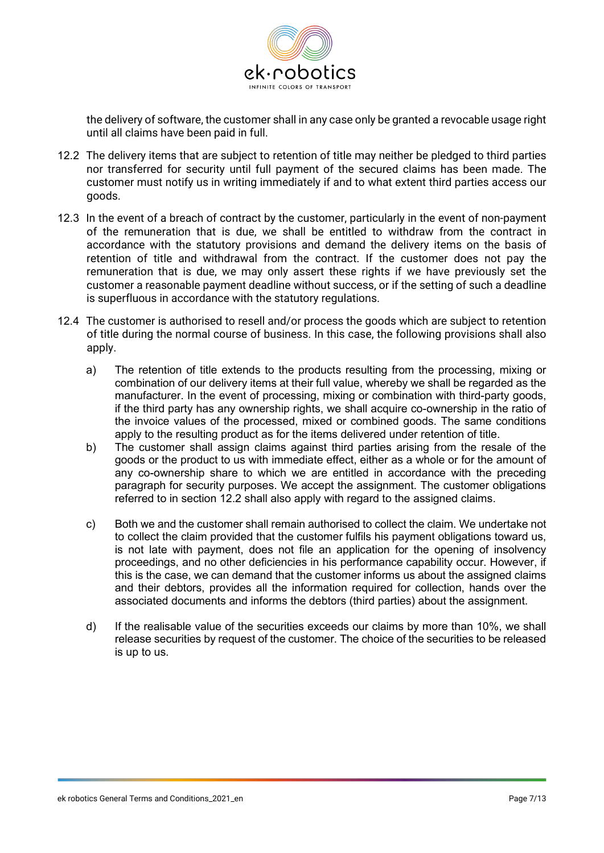

the delivery of software, the customer shall in any case only be granted a revocable usage right until all claims have been paid in full.

- 12.2 The delivery items that are subject to retention of title may neither be pledged to third parties nor transferred for security until full payment of the secured claims has been made. The customer must notify us in writing immediately if and to what extent third parties access our goods.
- 12.3 In the event of a breach of contract by the customer, particularly in the event of non-payment of the remuneration that is due, we shall be entitled to withdraw from the contract in accordance with the statutory provisions and demand the delivery items on the basis of retention of title and withdrawal from the contract. If the customer does not pay the remuneration that is due, we may only assert these rights if we have previously set the customer a reasonable payment deadline without success, or if the setting of such a deadline is superfluous in accordance with the statutory regulations.
- 12.4 The customer is authorised to resell and/or process the goods which are subject to retention of title during the normal course of business. In this case, the following provisions shall also apply.
	- a) The retention of title extends to the products resulting from the processing, mixing or combination of our delivery items at their full value, whereby we shall be regarded as the manufacturer. In the event of processing, mixing or combination with third-party goods, if the third party has any ownership rights, we shall acquire co-ownership in the ratio of the invoice values of the processed, mixed or combined goods. The same conditions apply to the resulting product as for the items delivered under retention of title.
	- b) The customer shall assign claims against third parties arising from the resale of the goods or the product to us with immediate effect, either as a whole or for the amount of any co-ownership share to which we are entitled in accordance with the preceding paragraph for security purposes. We accept the assignment. The customer obligations referred to in section 12.2 shall also apply with regard to the assigned claims.
	- c) Both we and the customer shall remain authorised to collect the claim. We undertake not to collect the claim provided that the customer fulfils his payment obligations toward us, is not late with payment, does not file an application for the opening of insolvency proceedings, and no other deficiencies in his performance capability occur. However, if this is the case, we can demand that the customer informs us about the assigned claims and their debtors, provides all the information required for collection, hands over the associated documents and informs the debtors (third parties) about the assignment.
	- d) If the realisable value of the securities exceeds our claims by more than 10%, we shall release securities by request of the customer. The choice of the securities to be released is up to us.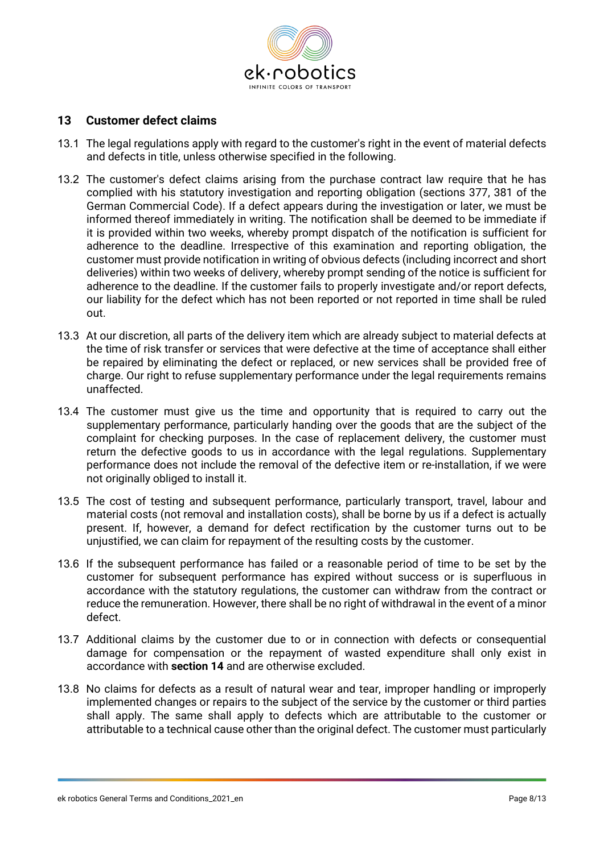

#### **13 Customer defect claims**

- 13.1 The legal regulations apply with regard to the customer's right in the event of material defects and defects in title, unless otherwise specified in the following.
- 13.2 The customer's defect claims arising from the purchase contract law require that he has complied with his statutory investigation and reporting obligation (sections 377, 381 of the German Commercial Code). If a defect appears during the investigation or later, we must be informed thereof immediately in writing. The notification shall be deemed to be immediate if it is provided within two weeks, whereby prompt dispatch of the notification is sufficient for adherence to the deadline. Irrespective of this examination and reporting obligation, the customer must provide notification in writing of obvious defects (including incorrect and short deliveries) within two weeks of delivery, whereby prompt sending of the notice is sufficient for adherence to the deadline. If the customer fails to properly investigate and/or report defects, our liability for the defect which has not been reported or not reported in time shall be ruled out.
- 13.3 At our discretion, all parts of the delivery item which are already subject to material defects at the time of risk transfer or services that were defective at the time of acceptance shall either be repaired by eliminating the defect or replaced, or new services shall be provided free of charge. Our right to refuse supplementary performance under the legal requirements remains unaffected.
- 13.4 The customer must give us the time and opportunity that is required to carry out the supplementary performance, particularly handing over the goods that are the subject of the complaint for checking purposes. In the case of replacement delivery, the customer must return the defective goods to us in accordance with the legal regulations. Supplementary performance does not include the removal of the defective item or re-installation, if we were not originally obliged to install it.
- 13.5 The cost of testing and subsequent performance, particularly transport, travel, labour and material costs (not removal and installation costs), shall be borne by us if a defect is actually present. If, however, a demand for defect rectification by the customer turns out to be unjustified, we can claim for repayment of the resulting costs by the customer.
- 13.6 If the subsequent performance has failed or a reasonable period of time to be set by the customer for subsequent performance has expired without success or is superfluous in accordance with the statutory regulations, the customer can withdraw from the contract or reduce the remuneration. However, there shall be no right of withdrawal in the event of a minor defect.
- 13.7 Additional claims by the customer due to or in connection with defects or consequential damage for compensation or the repayment of wasted expenditure shall only exist in accordance with **section 14** and are otherwise excluded.
- 13.8 No claims for defects as a result of natural wear and tear, improper handling or improperly implemented changes or repairs to the subject of the service by the customer or third parties shall apply. The same shall apply to defects which are attributable to the customer or attributable to a technical cause other than the original defect. The customer must particularly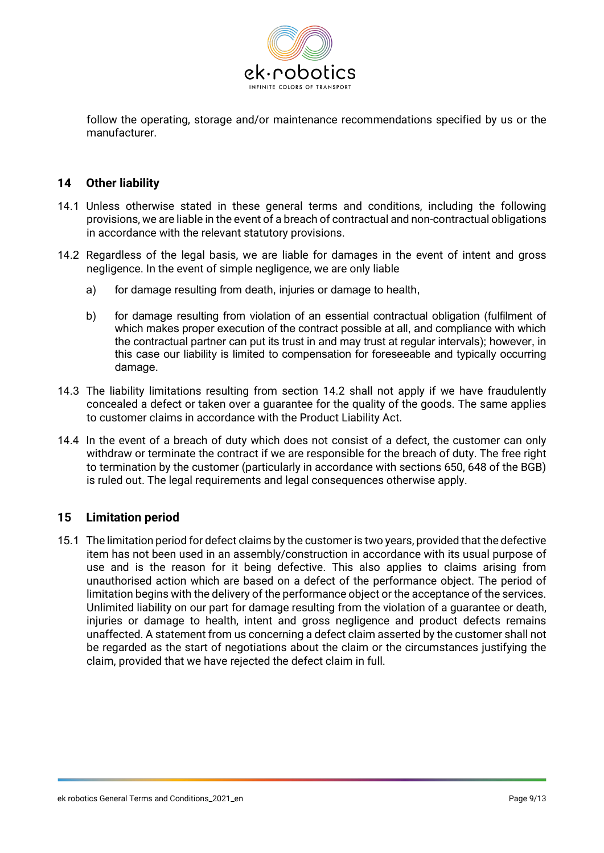

follow the operating, storage and/or maintenance recommendations specified by us or the manufacturer.

#### **14 Other liability**

- 14.1 Unless otherwise stated in these general terms and conditions, including the following provisions, we are liable in the event of a breach of contractual and non-contractual obligations in accordance with the relevant statutory provisions.
- 14.2 Regardless of the legal basis, we are liable for damages in the event of intent and gross negligence. In the event of simple negligence, we are only liable
	- a) for damage resulting from death, injuries or damage to health,
	- b) for damage resulting from violation of an essential contractual obligation (fulfilment of which makes proper execution of the contract possible at all, and compliance with which the contractual partner can put its trust in and may trust at regular intervals); however, in this case our liability is limited to compensation for foreseeable and typically occurring damage.
- 14.3 The liability limitations resulting from section 14.2 shall not apply if we have fraudulently concealed a defect or taken over a guarantee for the quality of the goods. The same applies to customer claims in accordance with the Product Liability Act.
- 14.4 In the event of a breach of duty which does not consist of a defect, the customer can only withdraw or terminate the contract if we are responsible for the breach of duty. The free right to termination by the customer (particularly in accordance with sections 650, 648 of the BGB) is ruled out. The legal requirements and legal consequences otherwise apply.

## **15 Limitation period**

15.1 The limitation period for defect claims by the customer is two years, provided that the defective item has not been used in an assembly/construction in accordance with its usual purpose of use and is the reason for it being defective. This also applies to claims arising from unauthorised action which are based on a defect of the performance object. The period of limitation begins with the delivery of the performance object or the acceptance of the services. Unlimited liability on our part for damage resulting from the violation of a guarantee or death, injuries or damage to health, intent and gross negligence and product defects remains unaffected. A statement from us concerning a defect claim asserted by the customer shall not be regarded as the start of negotiations about the claim or the circumstances justifying the claim, provided that we have rejected the defect claim in full.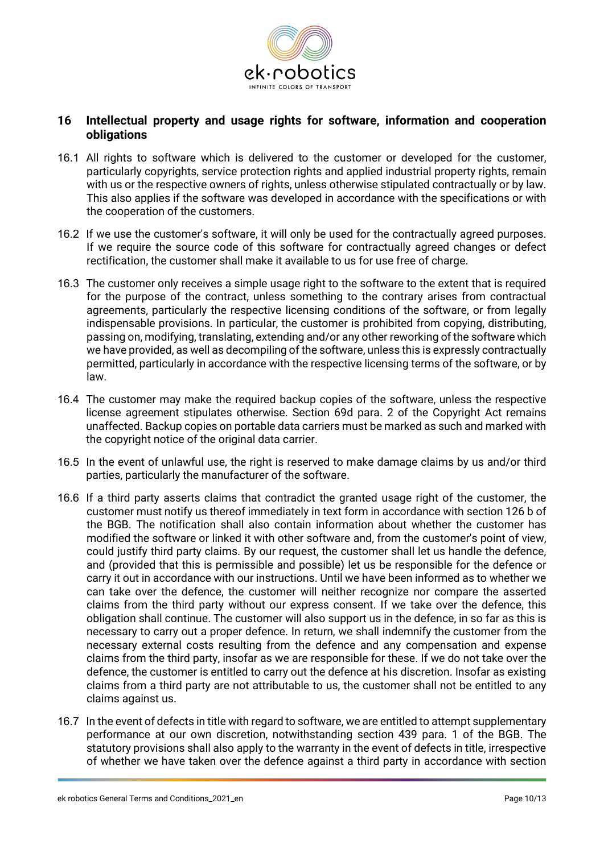

### **16 Intellectual property and usage rights for software, information and cooperation obligations**

- 16.1 All rights to software which is delivered to the customer or developed for the customer, particularly copyrights, service protection rights and applied industrial property rights, remain with us or the respective owners of rights, unless otherwise stipulated contractually or by law. This also applies if the software was developed in accordance with the specifications or with the cooperation of the customers.
- 16.2 If we use the customer's software, it will only be used for the contractually agreed purposes. If we require the source code of this software for contractually agreed changes or defect rectification, the customer shall make it available to us for use free of charge.
- 16.3 The customer only receives a simple usage right to the software to the extent that is required for the purpose of the contract, unless something to the contrary arises from contractual agreements, particularly the respective licensing conditions of the software, or from legally indispensable provisions. In particular, the customer is prohibited from copying, distributing, passing on, modifying, translating, extending and/or any other reworking of the software which we have provided, as well as decompiling of the software, unless this is expressly contractually permitted, particularly in accordance with the respective licensing terms of the software, or by law.
- 16.4 The customer may make the required backup copies of the software, unless the respective license agreement stipulates otherwise. Section 69d para. 2 of the Copyright Act remains unaffected. Backup copies on portable data carriers must be marked as such and marked with the copyright notice of the original data carrier.
- 16.5 In the event of unlawful use, the right is reserved to make damage claims by us and/or third parties, particularly the manufacturer of the software.
- 16.6 If a third party asserts claims that contradict the granted usage right of the customer, the customer must notify us thereof immediately in text form in accordance with section 126 b of the BGB. The notification shall also contain information about whether the customer has modified the software or linked it with other software and, from the customer's point of view, could justify third party claims. By our request, the customer shall let us handle the defence, and (provided that this is permissible and possible) let us be responsible for the defence or carry it out in accordance with our instructions. Until we have been informed as to whether we can take over the defence, the customer will neither recognize nor compare the asserted claims from the third party without our express consent. If we take over the defence, this obligation shall continue. The customer will also support us in the defence, in so far as this is necessary to carry out a proper defence. In return, we shall indemnify the customer from the necessary external costs resulting from the defence and any compensation and expense claims from the third party, insofar as we are responsible for these. If we do not take over the defence, the customer is entitled to carry out the defence at his discretion. Insofar as existing claims from a third party are not attributable to us, the customer shall not be entitled to any claims against us.
- 16.7 In the event of defects in title with regard to software, we are entitled to attempt supplementary performance at our own discretion, notwithstanding section 439 para. 1 of the BGB. The statutory provisions shall also apply to the warranty in the event of defects in title, irrespective of whether we have taken over the defence against a third party in accordance with section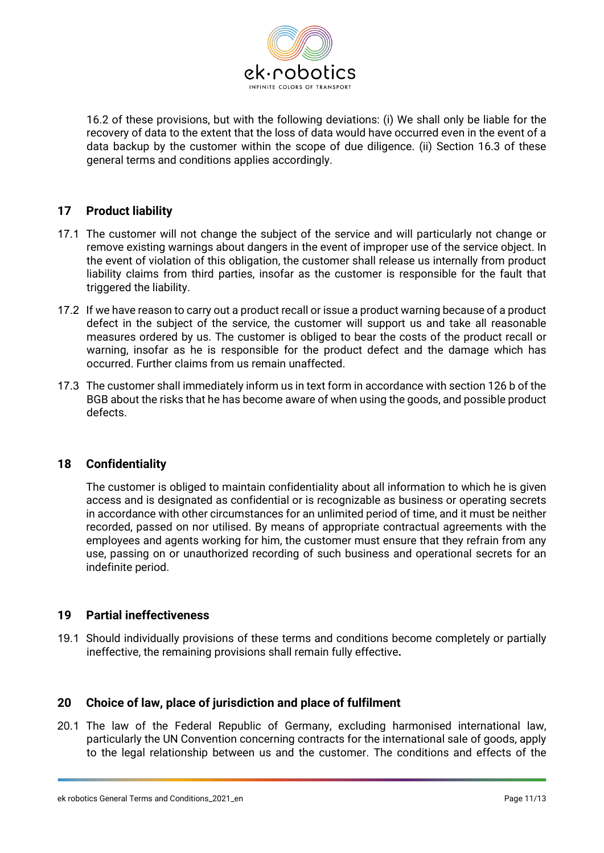

16.2 of these provisions, but with the following deviations: (i) We shall only be liable for the recovery of data to the extent that the loss of data would have occurred even in the event of a data backup by the customer within the scope of due diligence. (ii) Section 16.3 of these general terms and conditions applies accordingly.

## **17 Product liability**

- 17.1 The customer will not change the subject of the service and will particularly not change or remove existing warnings about dangers in the event of improper use of the service object. In the event of violation of this obligation, the customer shall release us internally from product liability claims from third parties, insofar as the customer is responsible for the fault that triggered the liability.
- 17.2 If we have reason to carry out a product recall or issue a product warning because of a product defect in the subject of the service, the customer will support us and take all reasonable measures ordered by us. The customer is obliged to bear the costs of the product recall or warning, insofar as he is responsible for the product defect and the damage which has occurred. Further claims from us remain unaffected.
- 17.3 The customer shall immediately inform us in text form in accordance with section 126 b of the BGB about the risks that he has become aware of when using the goods, and possible product defects.

## **18 Confidentiality**

The customer is obliged to maintain confidentiality about all information to which he is given access and is designated as confidential or is recognizable as business or operating secrets in accordance with other circumstances for an unlimited period of time, and it must be neither recorded, passed on nor utilised. By means of appropriate contractual agreements with the employees and agents working for him, the customer must ensure that they refrain from any use, passing on or unauthorized recording of such business and operational secrets for an indefinite period.

### **19 Partial ineffectiveness**

19.1 Should individually provisions of these terms and conditions become completely or partially ineffective, the remaining provisions shall remain fully effective**.**

## **20 Choice of law, place of jurisdiction and place of fulfilment**

20.1 The law of the Federal Republic of Germany, excluding harmonised international law, particularly the UN Convention concerning contracts for the international sale of goods, apply to the legal relationship between us and the customer. The conditions and effects of the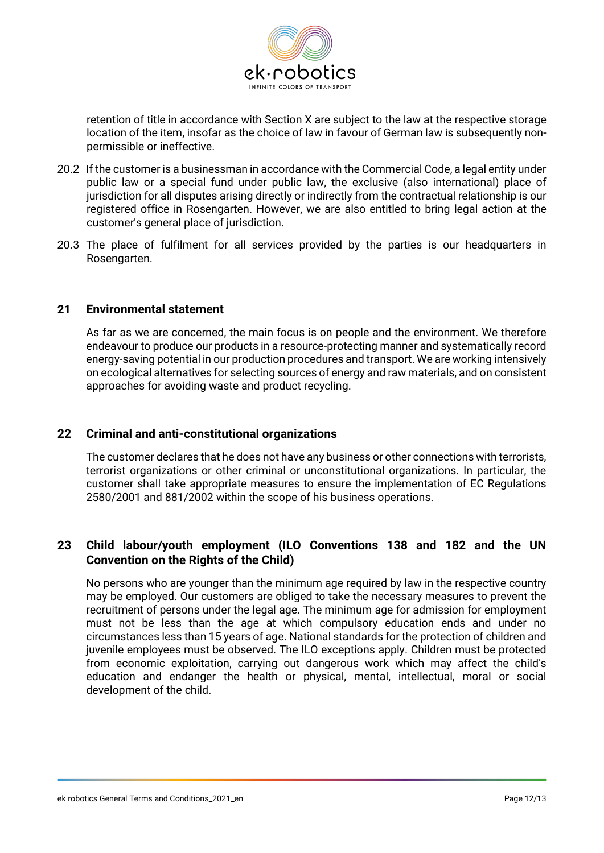

retention of title in accordance with Section X are subject to the law at the respective storage location of the item, insofar as the choice of law in favour of German law is subsequently nonpermissible or ineffective.

- 20.2 If the customer is a businessman in accordance with the Commercial Code, a legal entity under public law or a special fund under public law, the exclusive (also international) place of jurisdiction for all disputes arising directly or indirectly from the contractual relationship is our registered office in Rosengarten. However, we are also entitled to bring legal action at the customer's general place of jurisdiction.
- 20.3 The place of fulfilment for all services provided by the parties is our headquarters in Rosengarten.

#### **21 Environmental statement**

As far as we are concerned, the main focus is on people and the environment. We therefore endeavour to produce our products in a resource-protecting manner and systematically record energy-saving potential in our production procedures and transport. We are working intensively on ecological alternatives for selecting sources of energy and raw materials, and on consistent approaches for avoiding waste and product recycling.

## **22 Criminal and anti-constitutional organizations**

The customer declares that he does not have any business or other connections with terrorists, terrorist organizations or other criminal or unconstitutional organizations. In particular, the customer shall take appropriate measures to ensure the implementation of EC Regulations 2580/2001 and 881/2002 within the scope of his business operations.

## **23 Child labour/youth employment (ILO Conventions 138 and 182 and the UN Convention on the Rights of the Child)**

No persons who are younger than the minimum age required by law in the respective country may be employed. Our customers are obliged to take the necessary measures to prevent the recruitment of persons under the legal age. The minimum age for admission for employment must not be less than the age at which compulsory education ends and under no circumstances less than 15 years of age. National standards for the protection of children and juvenile employees must be observed. The ILO exceptions apply. Children must be protected from economic exploitation, carrying out dangerous work which may affect the child's education and endanger the health or physical, mental, intellectual, moral or social development of the child.